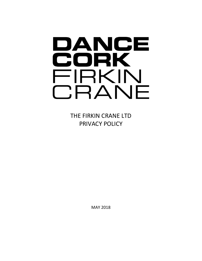# DANCE CORK FIRKIN CRANE

THE FIRKIN CRANE LTD PRIVACY POLICY

MAY 2018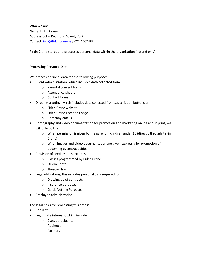### **Who we are**

Name: Firkin Crane Address: John Redmond Street, Cork Contact: [info@firkincrane.ie](mailto:info@firkincrane.ie) / 021 4507487

Firkin Crane stores and processes personal data within the organisation (Ireland only)

#### **Processing Personal Data**

We process personal data for the following purposes:

- Client Administration, which includes data collected from
	- o Parental consent forms
	- o Attendance sheets
	- o Contact forms
- Direct Marketing, which includes data collected from subscription buttons on
	- o Firkin Crane website
	- o Firkin Crane Facebook page
	- o Company emails
- Photography and video documentation for promotion and marketing online and in print, we will only do this
	- $\circ$  When permission is given by the parent in children under 16 (directly through Firkin Crane)
	- o When images and video documentation are given expressly for promotion of upcoming events/activities
- Provision of services, this includes
	- o Classes programmed by Firkin Crane
	- o Studio Rental
	- o Theatre Hire
- Legal obligations, this includes personal data required for
	- o Drawing up of contracts
	- o Insurance purposes
	- o Garda Vetting Purposes
- Employee administration

The legal basis for processing this data is:

- Consent
- Legitimate interests, which include
	- o Class participants
	- o Audience
	- o Partners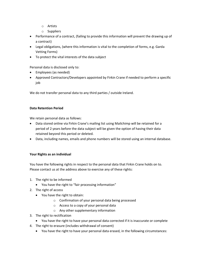- o Artists
- o Suppliers
- Performance of a contract, (failing to provide this information will prevent the drawing up of a contract)
- Legal obligations, (where this information is vital to the completion of forms, e.g. Garda Vetting Forms)
- To protect the vital interests of the data subject

Personal data is disclosed only to:

- Employees (as needed)
- Approved Contractors/Developers appointed by Firkin Crane if needed to perform a specific job

We do not transfer personal data to any third parties / outside Ireland.

# **Data Retention Period**

We retain personal data as follows:

- Data stored online via Firkin Crane's mailing list using Mailchimp will be retained for a period of 2 years before the data subject will be given the option of having their data retained beyond this period or deleted.
- Data, including names, emails and phone numbers will be stored using an internal database.

# **Your Rights as an individual**

You have the following rights in respect to the personal data that Firkin Crane holds on to. Please contact us at the address above to exercise any of these rights:

- 1. The right to be informed
	- You have the right to "fair processing information"
- 2. The right of access
	- You have the right to obtain:
		- o Confirmation of your personal data being processed
		- o Access to a copy of your personal data
		- o Any other supplementary information
- 3. The right to rectification
	- You have the right to have your personal data corrected if it is inaccurate or complete
- 4. The right to erasure (includes withdrawal of consent)
	- You have the right to have your personal data erased, in the following circumstances: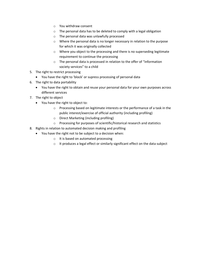- o You withdraw consent
- o The personal data has to be deleted to comply with a legal obligation
- o The personal data was unlawfully processed
- o Where the personal data is no longer necessary in relation to the purpose for which it was originally collected
- o Where you object to the processing and there is no superseding legitimate requirement to continue the processing
- o The personal data is processed in relation to the offer of "information society services" to a child
- 5. The right to restrict processing
	- You have the right to 'block' or supress processing of personal data
- 6. The right to data portability
	- You have the right to obtain and reuse your personal data for your own purposes across different services
- 7. The right to object
	- You have the right to object to:
		- o Processing based on legitimate interests or the performance of a task in the public interest/exercise of official authority (including profiling)
		- o Direct Marketing (including profiling)
		- o Processing for purposes of scientific/historical research and statistics
- 8. Rights in relation to automated decision making and profiling
	- You have the right not to be subject to a decision when:
		- o It is based on automated processing
		- o It produces a legal effect or similarly significant effect on the data subject